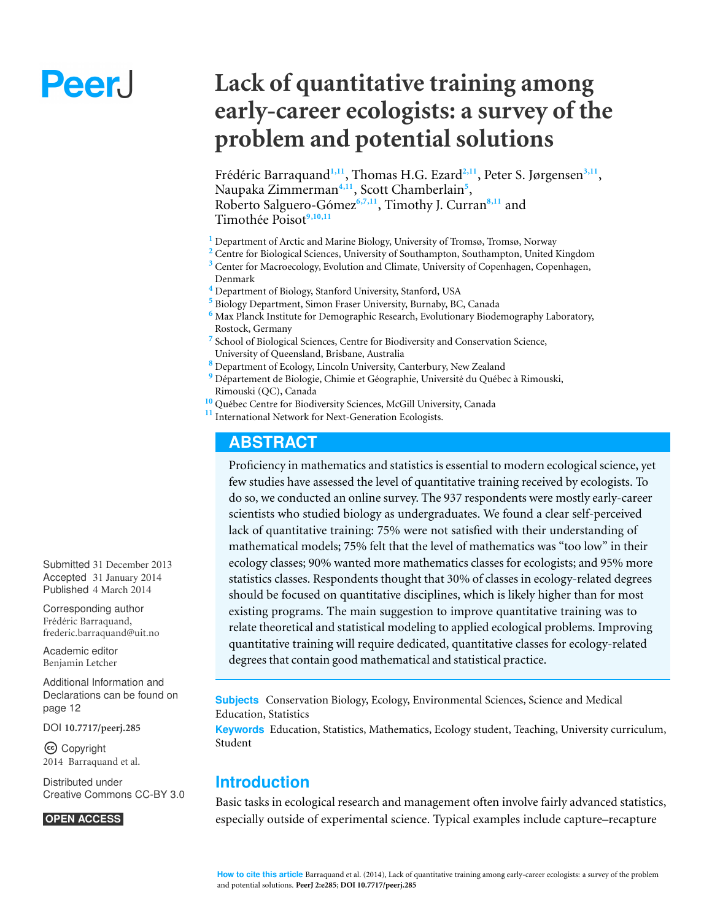# Peer.

# **Lack of quantitative training among early-career ecologists: a survey of the problem and potential solutions**

Frédéric Barraquand<sup>1,11</sup>, Thomas H.G. Ezard<sup>2,11</sup>, Peter S. Jørgensen<sup>3,11</sup>, Naupaka Zimmerman<sup>4,11</sup>, Scott Chamberlain<sup>5</sup>, Roberto Salguero-Gómez<sup>6,7,11</sup>, Timothy J. Curran<sup>8,11</sup> and Timothée Poisot<sup>9,10,11</sup>

- **<sup>1</sup>** Department of Arctic and Marine Biology, University of Tromsø, Tromsø, Norway
- **<sup>2</sup>** Centre for Biological Sciences, University of Southampton, Southampton, United Kingdom
- <sup>3</sup> Center for Macroecology, Evolution and Climate, University of Copenhagen, Copenhagen, Denmark
- **<sup>4</sup>** Department of Biology, Stanford University, Stanford, USA
- **<sup>5</sup>** Biology Department, Simon Fraser University, Burnaby, BC, Canada
- **<sup>6</sup>** Max Planck Institute for Demographic Research, Evolutionary Biodemography Laboratory, Rostock, Germany
- <sup>7</sup> School of Biological Sciences, Centre for Biodiversity and Conservation Science, University of Queensland, Brisbane, Australia
- **<sup>8</sup>** Department of Ecology, Lincoln University, Canterbury, New Zealand
- <sup>9</sup> Département de Biologie, Chimie et Géographie, Université du Québec à Rimouski, Rimouski (QC), Canada
- **<sup>10</sup>** Quebec Centre for Biodiversity Sciences, McGill University, Canada ´
- **<sup>11</sup>** International Network for Next-Generation Ecologists.

# **ABSTRACT**

Proficiency in mathematics and statistics is essential to modern ecological science, yet few studies have assessed the level of quantitative training received by ecologists. To do so, we conducted an online survey. The 937 respondents were mostly early-career scientists who studied biology as undergraduates. We found a clear self-perceived lack of quantitative training: 75% were not satisfied with their understanding of mathematical models; 75% felt that the level of mathematics was "too low" in their ecology classes; 90% wanted more mathematics classes for ecologists; and 95% more statistics classes. Respondents thought that 30% of classes in ecology-related degrees should be focused on quantitative disciplines, which is likely higher than for most existing programs. The main suggestion to improve quantitative training was to relate theoretical and statistical modeling to applied ecological problems. Improving quantitative training will require dedicated, quantitative classes for ecology-related degrees that contain good mathematical and statistical practice.

**Subjects** Conservation Biology, Ecology, Environmental Sciences, Science and Medical Education, Statistics

**Keywords** Education, Statistics, Mathematics, Ecology student, Teaching, University curriculum, Student

# **Introduction**

Basic tasks in ecological research and management often involve fairly advanced statistics, especially outside of experimental science. Typical examples include capture–recapture

Submitted 31 December 2013 Accepted 31 January 2014 Published 4 March 2014

Corresponding author Frédéric Barraquand, [frederic.barraquand@uit.no](mailto:frederic.barraquand@uit.no)

[Academic editor](https://peerj.com/academic-boards/editors/) [Benjamin Letcher](https://peerj.com/academic-boards/editors/)

[Additional Information and](#page-11-0) [Declarations can be found on](#page-11-0) [page 12](#page-11-0)

[DOI](http://dx.doi.org/10.7717/peerj.285) **[10.7717/peerj.285](http://dx.doi.org/10.7717/peerj.285)**

Copyright 2014 Barraquand et al.

[Distributed under](http://creativecommons.org/licenses/by/3.0/) [Creative Commons CC-BY 3.0](http://creativecommons.org/licenses/by/3.0/)

#### **OPEN ACCESS**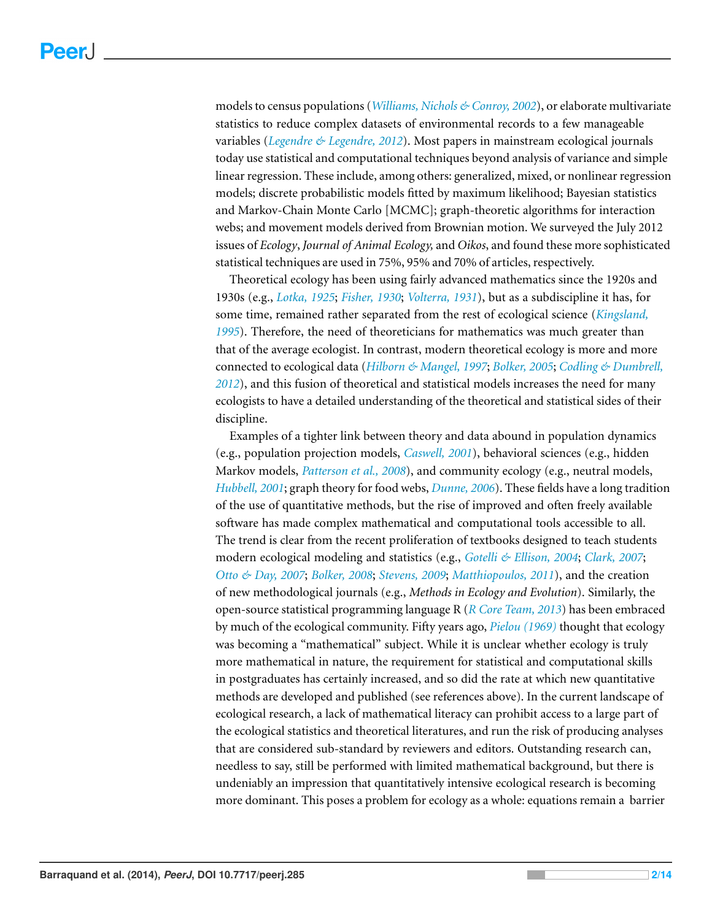models to census populations (*[Williams,](#page-13-0) [Nichols](#page-13-0) [&](#page-13-0) [Conroy,](#page-13-0) [2002](#page-13-0)*), or elaborate multivariate statistics to reduce complex datasets of environmental records to a few manageable variables (*[Legendre](#page-12-0) [&](#page-12-0) [Legendre,](#page-12-0) [2012](#page-12-0)*). Most papers in mainstream ecological journals today use statistical and computational techniques beyond analysis of variance and simple linear regression. These include, among others: generalized, mixed, or nonlinear regression models; discrete probabilistic models fitted by maximum likelihood; Bayesian statistics and Markov-Chain Monte Carlo [MCMC]; graph-theoretic algorithms for interaction webs; and movement models derived from Brownian motion. We surveyed the July 2012 issues of *Ecology*, *Journal of Animal Ecology,* and *Oikos*, and found these more sophisticated statistical techniques are used in 75%, 95% and 70% of articles, respectively.

Theoretical ecology has been using fairly advanced mathematics since the 1920s and 1930s (e.g., *[Lotka,](#page-12-1) [1925](#page-12-1)*; *[Fisher,](#page-12-2) [1930](#page-12-2)*; *[Volterra,](#page-13-1) [1931](#page-13-1)*), but as a subdiscipline it has, for some time, remained rather separated from the rest of ecological science (*[Kingsland,](#page-12-3) [1995](#page-12-3)*). Therefore, the need of theoreticians for mathematics was much greater than that of the average ecologist. In contrast, modern theoretical ecology is more and more connected to ecological data (*[Hilborn](#page-12-4) [&](#page-12-4) [Mangel,](#page-12-4) [1997](#page-12-4)*; *[Bolker,](#page-12-5) [2005](#page-12-5)*; *[Codling](#page-12-6) [&](#page-12-6) [Dumbrell,](#page-12-6) [2012](#page-12-6)*), and this fusion of theoretical and statistical models increases the need for many ecologists to have a detailed understanding of the theoretical and statistical sides of their discipline.

Examples of a tighter link between theory and data abound in population dynamics (e.g., population projection models, *[Caswell,](#page-12-7) [2001](#page-12-7)*), behavioral sciences (e.g., hidden Markov models, *[Patterson](#page-13-2) [et](#page-13-2) [al.,](#page-13-2) [2008](#page-13-2)*), and community ecology (e.g., neutral models, *[Hubbell,](#page-12-8) [2001](#page-12-8)*; graph theory for food webs, *[Dunne,](#page-12-9) [2006](#page-12-9)*). These fields have a long tradition of the use of quantitative methods, but the rise of improved and often freely available software has made complex mathematical and computational tools accessible to all. The trend is clear from the recent proliferation of textbooks designed to teach students modern ecological modeling and statistics (e.g., *[Gotelli](#page-12-10) [&](#page-12-10) [Ellison,](#page-12-10) [2004](#page-12-10)*; *[Clark,](#page-12-11) [2007](#page-12-11)*; *[Otto](#page-13-3) [&](#page-13-3) [Day,](#page-13-3) [2007](#page-13-3)*; *[Bolker,](#page-12-12) [2008](#page-12-12)*; *[Stevens,](#page-13-4) [2009](#page-13-4)*; *[Matthiopoulos,](#page-12-13) [2011](#page-12-13)*), and the creation of new methodological journals (e.g., *Methods in Ecology and Evolution*). Similarly, the open-source statistical programming language R (*[R](#page-13-5) [Core](#page-13-5) [Team,](#page-13-5) [2013](#page-13-5)*) has been embraced by much of the ecological community. Fifty years ago, *[Pielou](#page-13-6) [\(1969\)](#page-13-6)* thought that ecology was becoming a "mathematical" subject. While it is unclear whether ecology is truly more mathematical in nature, the requirement for statistical and computational skills in postgraduates has certainly increased, and so did the rate at which new quantitative methods are developed and published (see references above). In the current landscape of ecological research, a lack of mathematical literacy can prohibit access to a large part of the ecological statistics and theoretical literatures, and run the risk of producing analyses that are considered sub-standard by reviewers and editors. Outstanding research can, needless to say, still be performed with limited mathematical background, but there is undeniably an impression that quantitatively intensive ecological research is becoming more dominant. This poses a problem for ecology as a whole: equations remain a barrier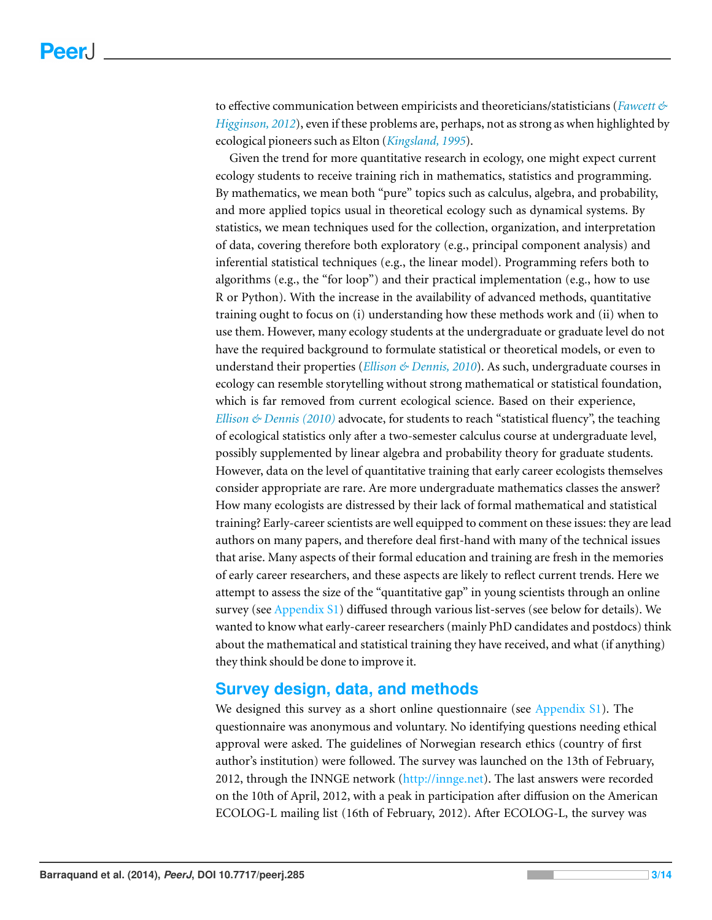to effective communication between empiricists and theoreticians/statisticians (*[Fawcett](#page-12-14) [&](#page-12-14) [Higginson,](#page-12-14) [2012](#page-12-14)*), even if these problems are, perhaps, not as strong as when highlighted by ecological pioneers such as Elton (*[Kingsland,](#page-12-3) [1995](#page-12-3)*).

Given the trend for more quantitative research in ecology, one might expect current ecology students to receive training rich in mathematics, statistics and programming. By mathematics, we mean both "pure" topics such as calculus, algebra, and probability, and more applied topics usual in theoretical ecology such as dynamical systems. By statistics, we mean techniques used for the collection, organization, and interpretation of data, covering therefore both exploratory (e.g., principal component analysis) and inferential statistical techniques (e.g., the linear model). Programming refers both to algorithms (e.g., the "for loop") and their practical implementation (e.g., how to use R or Python). With the increase in the availability of advanced methods, quantitative training ought to focus on (i) understanding how these methods work and (ii) when to use them. However, many ecology students at the undergraduate or graduate level do not have the required background to formulate statistical or theoretical models, or even to understand their properties (*[Ellison](#page-12-15) [&](#page-12-15) [Dennis,](#page-12-15) [2010](#page-12-15)*). As such, undergraduate courses in ecology can resemble storytelling without strong mathematical or statistical foundation, which is far removed from current ecological science. Based on their experience, *[Ellison](#page-12-15) [&](#page-12-15) [Dennis](#page-12-15) [\(2010\)](#page-12-15)* advocate, for students to reach "statistical fluency", the teaching of ecological statistics only after a two-semester calculus course at undergraduate level, possibly supplemented by linear algebra and probability theory for graduate students. However, data on the level of quantitative training that early career ecologists themselves consider appropriate are rare. Are more undergraduate mathematics classes the answer? How many ecologists are distressed by their lack of formal mathematical and statistical training? Early-career scientists are well equipped to comment on these issues: they are lead authors on many papers, and therefore deal first-hand with many of the technical issues that arise. Many aspects of their formal education and training are fresh in the memories of early career researchers, and these aspects are likely to reflect current trends. Here we attempt to assess the size of the "quantitative gap" in young scientists through an online survey (see [Appendix](http://dx.doi.org/10.7717/peerj.285/supp-4) [S1\)](http://dx.doi.org/10.7717/peerj.285/supp-4) diffused through various list-serves (see below for details). We wanted to know what early-career researchers (mainly PhD candidates and postdocs) think about the mathematical and statistical training they have received, and what (if anything) they think should be done to improve it.

# **Survey design, data, and methods**

We designed this survey as a short online questionnaire (see [Appendix](http://dx.doi.org/10.7717/peerj.285/supp-4) [S1\)](http://dx.doi.org/10.7717/peerj.285/supp-4). The questionnaire was anonymous and voluntary. No identifying questions needing ethical approval were asked. The guidelines of Norwegian research ethics (country of first author's institution) were followed. The survey was launched on the 13th of February, 2012, through the INNGE network [\(http://innge.net\)](http://innge.net). The last answers were recorded on the 10th of April, 2012, with a peak in participation after diffusion on the American ECOLOG-L mailing list (16th of February, 2012). After ECOLOG-L, the survey was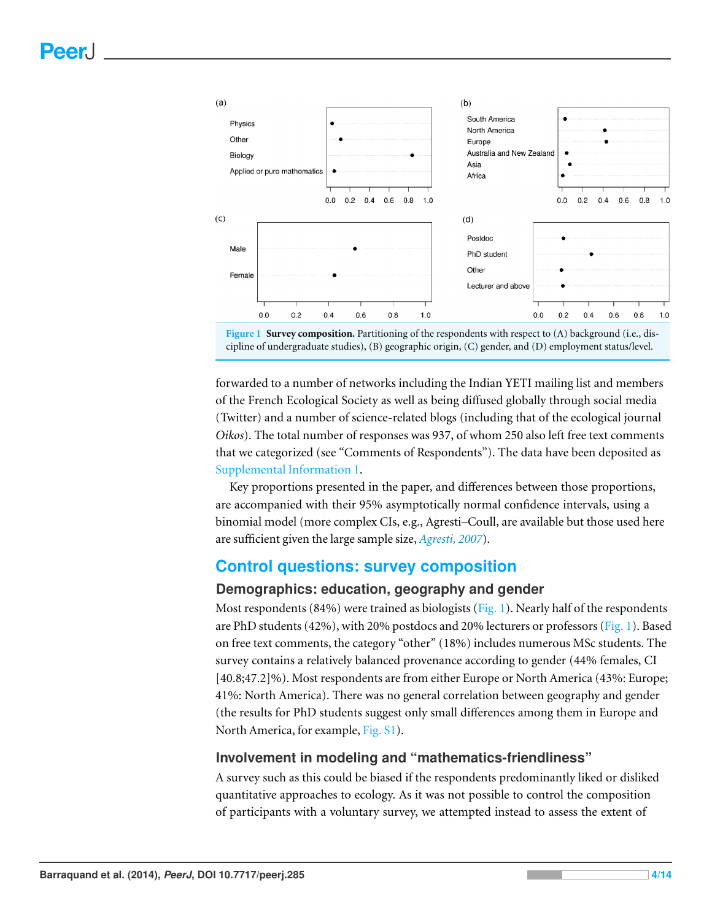<span id="page-3-0"></span>

forwarded to a number of networks including the Indian YETI mailing list and members of the French Ecological Society as well as being diffused globally through social media (Twitter) and a number of science-related blogs (including that of the ecological journal *Oikos*). The total number of responses was 937, of whom 250 also left free text comments that we categorized (see "Comments of Respondents"). The data have been deposited as [Supplemental](http://dx.doi.org/10.7717/peerj.285/supp-1) [Information](http://dx.doi.org/10.7717/peerj.285/supp-1) [1.](http://dx.doi.org/10.7717/peerj.285/supp-1)

Key proportions presented in the paper, and differences between those proportions, are accompanied with their 95% asymptotically normal confidence intervals, using a binomial model (more complex CIs, e.g., Agresti–Coull, are available but those used here are sufficient given the large sample size, *[Agresti,](#page-11-1) [2007](#page-11-1)*).

# **Control questions: survey composition**

#### **Demographics: education, geography and gender**

Most respondents (84%) were trained as biologists [\(Fig. 1\)](#page-3-0). Nearly half of the respondents are PhD students (42%), with 20% postdocs and 20% lecturers or professors [\(Fig. 1\)](#page-3-0). Based on free text comments, the category "other" (18%) includes numerous MSc students. The survey contains a relatively balanced provenance according to gender (44% females, CI [40.8;47.2]%). Most respondents are from either Europe or North America (43%: Europe; 41%: North America). There was no general correlation between geography and gender (the results for PhD students suggest only small differences among them in Europe and North America, for example, [Fig.](http://dx.doi.org/10.7717/peerj.285/supp-4) [S1\)](http://dx.doi.org/10.7717/peerj.285/supp-4).

#### **Involvement in modeling and "mathematics-friendliness"**

A survey such as this could be biased if the respondents predominantly liked or disliked quantitative approaches to ecology. As it was not possible to control the composition of participants with a voluntary survey, we attempted instead to assess the extent of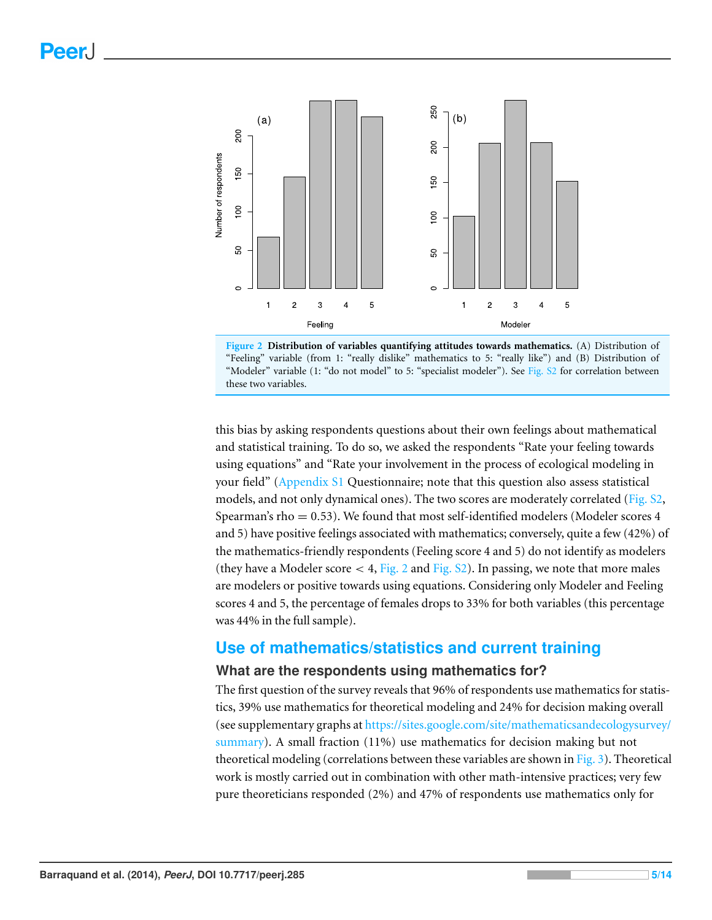<span id="page-4-0"></span>



this bias by asking respondents questions about their own feelings about mathematical and statistical training. To do so, we asked the respondents "Rate your feeling towards using equations" and "Rate your involvement in the process of ecological modeling in your field" [\(Appendix](http://dx.doi.org/10.7717/peerj.285/supp-4) [S1](http://dx.doi.org/10.7717/peerj.285/supp-4) Questionnaire; note that this question also assess statistical models, and not only dynamical ones). The two scores are moderately correlated ( $Fig. S2$ , Spearman's rho  $= 0.53$ ). We found that most self-identified modelers (Modeler scores 4 and 5) have positive feelings associated with mathematics; conversely, quite a few (42%) of the mathematics-friendly respondents (Feeling score 4 and 5) do not identify as modelers (they have a Modeler score  $<$  4, [Fig. 2](#page-4-0) and [Fig.](http://dx.doi.org/10.7717/peerj.285/supp-4)  $\S$ 2). In passing, we note that more males are modelers or positive towards using equations. Considering only Modeler and Feeling scores 4 and 5, the percentage of females drops to 33% for both variables (this percentage was 44% in the full sample).

# **Use of mathematics/statistics and current training**

#### **What are the respondents using mathematics for?**

The first question of the survey reveals that 96% of respondents use mathematics for statistics, 39% use mathematics for theoretical modeling and 24% for decision making overall (see supplementary graphs at [https://sites.google.com/site/mathematicsandecologysurvey/](https://sites.google.com/site/mathematicsandecologysurvey/summary) [summary\)](https://sites.google.com/site/mathematicsandecologysurvey/summary). A small fraction (11%) use mathematics for decision making but not theoretical modeling (correlations between these variables are shown in [Fig. 3\)](#page-5-0). Theoretical work is mostly carried out in combination with other math-intensive practices; very few pure theoreticians responded (2%) and 47% of respondents use mathematics only for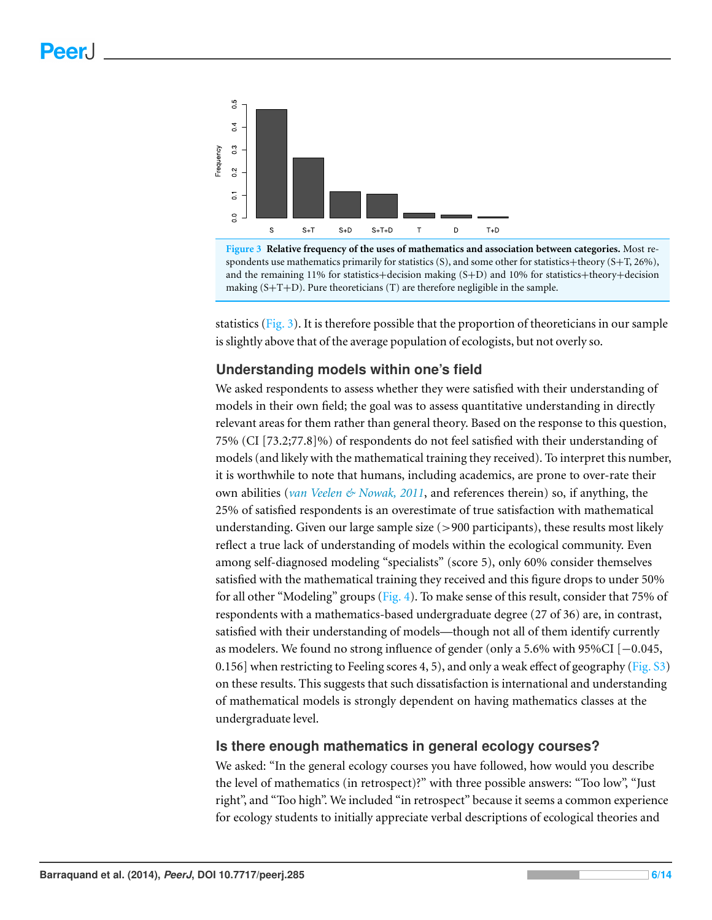<span id="page-5-0"></span>

**Figure 3 Relative frequency of the uses of mathematics and association between categories.** Most respondents use mathematics primarily for statistics (S), and some other for statistics+theory (S+T, 26%), and the remaining 11% for statistics+decision making (S+D) and 10% for statistics+theory+decision making  $(S+T+D)$ . Pure theoreticians  $(T)$  are therefore negligible in the sample.

statistics [\(Fig. 3\)](#page-5-0). It is therefore possible that the proportion of theoreticians in our sample is slightly above that of the average population of ecologists, but not overly so.

#### **Understanding models within one's field**

We asked respondents to assess whether they were satisfied with their understanding of models in their own field; the goal was to assess quantitative understanding in directly relevant areas for them rather than general theory. Based on the response to this question, 75% (CI [73.2;77.8]%) of respondents do not feel satisfied with their understanding of models (and likely with the mathematical training they received). To interpret this number, it is worthwhile to note that humans, including academics, are prone to over-rate their own abilities (*[van](#page-13-7) [Veelen](#page-13-7) [&](#page-13-7) [Nowak,](#page-13-7) [2011](#page-13-7)*, and references therein) so, if anything, the 25% of satisfied respondents is an overestimate of true satisfaction with mathematical understanding. Given our large sample size  $(>900$  participants), these results most likely reflect a true lack of understanding of models within the ecological community. Even among self-diagnosed modeling "specialists" (score 5), only 60% consider themselves satisfied with the mathematical training they received and this figure drops to under 50% for all other "Modeling" groups [\(Fig. 4\)](#page-6-0). To make sense of this result, consider that 75% of respondents with a mathematics-based undergraduate degree (27 of 36) are, in contrast, satisfied with their understanding of models—though not all of them identify currently as modelers. We found no strong influence of gender (only a 5.6% with 95%CI [−0.045, 0.156] when restricting to Feeling scores 4, 5), and only a weak effect of geography [\(Fig.](http://dx.doi.org/10.7717/peerj.285/supp-4)  $\overline{S3}$ ) on these results. This suggests that such dissatisfaction is international and understanding of mathematical models is strongly dependent on having mathematics classes at the undergraduate level.

#### **Is there enough mathematics in general ecology courses?**

We asked: "In the general ecology courses you have followed, how would you describe the level of mathematics (in retrospect)?" with three possible answers: "Too low", "Just right", and "Too high". We included "in retrospect" because it seems a common experience for ecology students to initially appreciate verbal descriptions of ecological theories and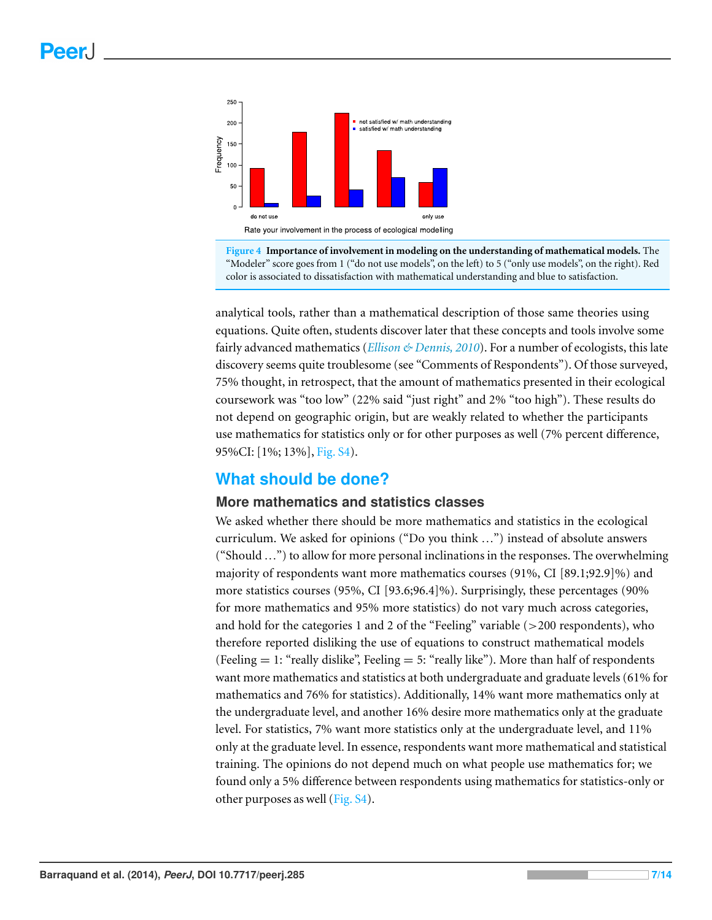<span id="page-6-0"></span>

**Figure 4 Importance of involvement in modeling on the understanding of mathematical models.** The "Modeler" score goes from 1 ("do not use models", on the left) to 5 ("only use models", on the right). Red color is associated to dissatisfaction with mathematical understanding and blue to satisfaction.

analytical tools, rather than a mathematical description of those same theories using equations. Quite often, students discover later that these concepts and tools involve some fairly advanced mathematics (*[Ellison](#page-12-15) [&](#page-12-15) [Dennis,](#page-12-15) [2010](#page-12-15)*). For a number of ecologists, this late discovery seems quite troublesome (see "Comments of Respondents"). Of those surveyed, 75% thought, in retrospect, that the amount of mathematics presented in their ecological coursework was "too low" (22% said "just right" and 2% "too high"). These results do not depend on geographic origin, but are weakly related to whether the participants use mathematics for statistics only or for other purposes as well (7% percent difference, 95%CI: [1%; 13%], [Fig.](http://dx.doi.org/10.7717/peerj.285/supp-4) [S4\)](http://dx.doi.org/10.7717/peerj.285/supp-4).

# **What should be done?**

#### **More mathematics and statistics classes**

We asked whether there should be more mathematics and statistics in the ecological curriculum. We asked for opinions ("Do you think ...") instead of absolute answers ("Should ...") to allow for more personal inclinations in the responses. The overwhelming majority of respondents want more mathematics courses (91%, CI [89.1;92.9]%) and more statistics courses (95%, CI [93.6;96.4]%). Surprisingly, these percentages (90% for more mathematics and 95% more statistics) do not vary much across categories, and hold for the categories 1 and 2 of the "Feeling" variable (>200 respondents), who therefore reported disliking the use of equations to construct mathematical models (Feeling  $= 1$ : "really dislike", Feeling  $= 5$ : "really like"). More than half of respondents want more mathematics and statistics at both undergraduate and graduate levels (61% for mathematics and 76% for statistics). Additionally, 14% want more mathematics only at the undergraduate level, and another 16% desire more mathematics only at the graduate level. For statistics, 7% want more statistics only at the undergraduate level, and 11% only at the graduate level. In essence, respondents want more mathematical and statistical training. The opinions do not depend much on what people use mathematics for; we found only a 5% difference between respondents using mathematics for statistics-only or other purposes as well [\(Fig.](http://dx.doi.org/10.7717/peerj.285/supp-4) [S4\)](http://dx.doi.org/10.7717/peerj.285/supp-4).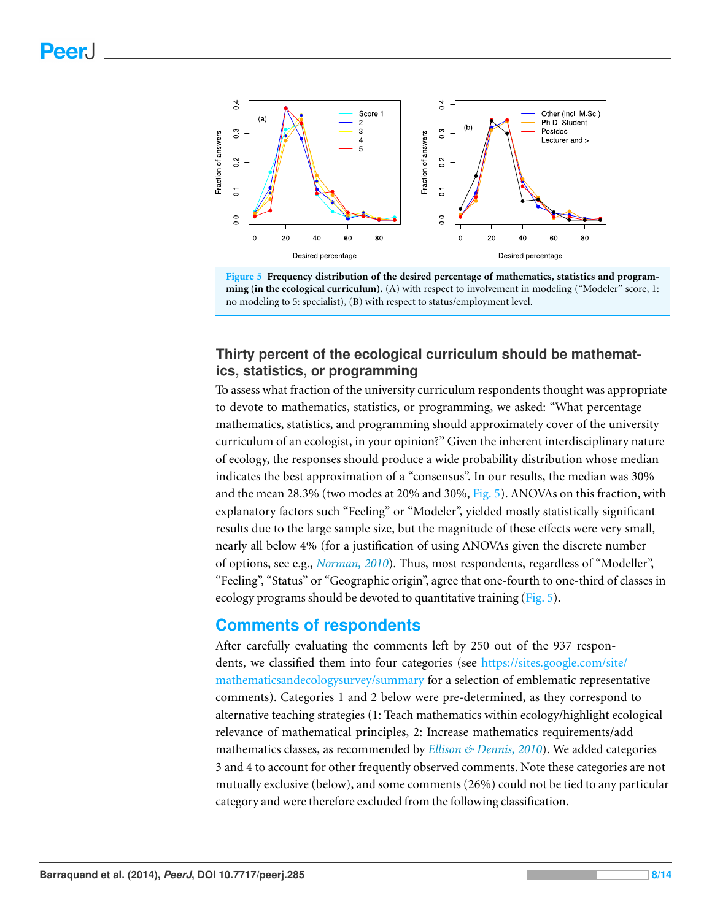<span id="page-7-0"></span>



#### **Thirty percent of the ecological curriculum should be mathematics, statistics, or programming**

To assess what fraction of the university curriculum respondents thought was appropriate to devote to mathematics, statistics, or programming, we asked: "What percentage mathematics, statistics, and programming should approximately cover of the university curriculum of an ecologist, in your opinion?" Given the inherent interdisciplinary nature of ecology, the responses should produce a wide probability distribution whose median indicates the best approximation of a "consensus". In our results, the median was 30% and the mean 28.3% (two modes at 20% and 30%, [Fig. 5\)](#page-7-0). ANOVAs on this fraction, with explanatory factors such "Feeling" or "Modeler", yielded mostly statistically significant results due to the large sample size, but the magnitude of these effects were very small, nearly all below 4% (for a justification of using ANOVAs given the discrete number of options, see e.g., *[Norman,](#page-12-16) [2010](#page-12-16)*). Thus, most respondents, regardless of "Modeller", "Feeling", "Status" or "Geographic origin", agree that one-fourth to one-third of classes in ecology programs should be devoted to quantitative training [\(Fig. 5\)](#page-7-0).

#### **Comments of respondents**

After carefully evaluating the comments left by 250 out of the 937 respondents, we classified them into four categories (see [https://sites.google.com/site/](https://sites.google.com/site/mathematicsandecologysurvey/summary) [mathematicsandecologysurvey/summary](https://sites.google.com/site/mathematicsandecologysurvey/summary) for a selection of emblematic representative comments). Categories 1 and 2 below were pre-determined, as they correspond to alternative teaching strategies (1: Teach mathematics within ecology/highlight ecological relevance of mathematical principles, 2: Increase mathematics requirements/add mathematics classes, as recommended by *[Ellison](#page-12-15) [&](#page-12-15) [Dennis,](#page-12-15) [2010](#page-12-15)*). We added categories 3 and 4 to account for other frequently observed comments. Note these categories are not mutually exclusive (below), and some comments (26%) could not be tied to any particular category and were therefore excluded from the following classification.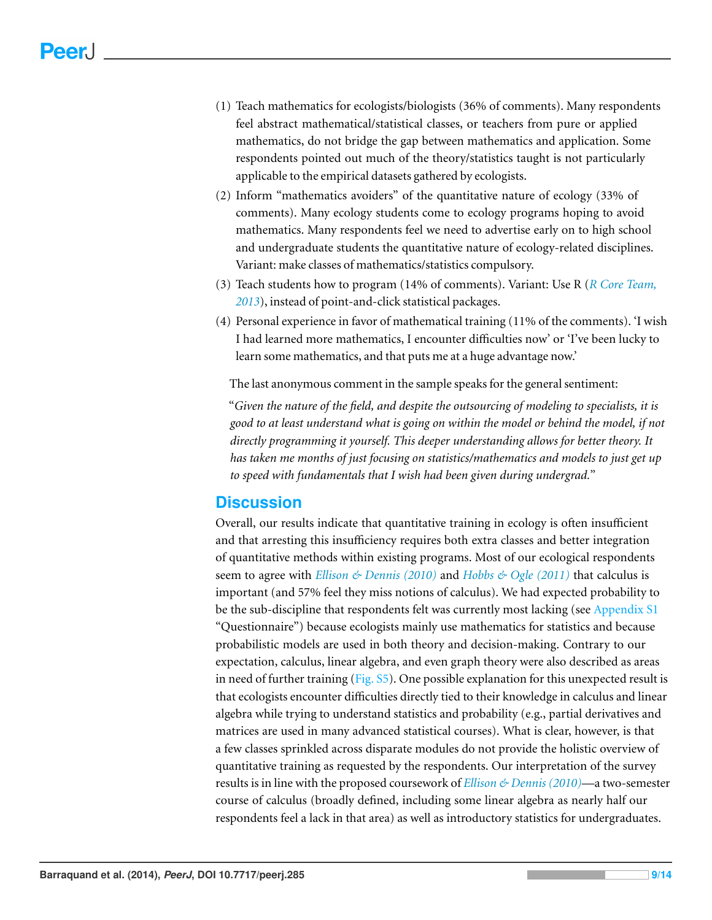- (1) Teach mathematics for ecologists/biologists (36% of comments). Many respondents feel abstract mathematical/statistical classes, or teachers from pure or applied mathematics, do not bridge the gap between mathematics and application. Some respondents pointed out much of the theory/statistics taught is not particularly applicable to the empirical datasets gathered by ecologists.
- (2) Inform "mathematics avoiders" of the quantitative nature of ecology (33% of comments). Many ecology students come to ecology programs hoping to avoid mathematics. Many respondents feel we need to advertise early on to high school and undergraduate students the quantitative nature of ecology-related disciplines. Variant: make classes of mathematics/statistics compulsory.
- (3) Teach students how to program (14% of comments). Variant: Use R (*[R](#page-13-5) [Core](#page-13-5) [Team,](#page-13-5) [2013](#page-13-5)*), instead of point-and-click statistical packages.
- (4) Personal experience in favor of mathematical training (11% of the comments). 'I wish I had learned more mathematics, I encounter difficulties now' or 'I've been lucky to learn some mathematics, and that puts me at a huge advantage now.'

The last anonymous comment in the sample speaks for the general sentiment:

"*Given the nature of the field, and despite the outsourcing of modeling to specialists, it is good to at least understand what is going on within the model or behind the model, if not directly programming it yourself. This deeper understanding allows for better theory. It has taken me months of just focusing on statistics/mathematics and models to just get up to speed with fundamentals that I wish had been given during undergrad.*"

# **Discussion**

Overall, our results indicate that quantitative training in ecology is often insufficient and that arresting this insufficiency requires both extra classes and better integration of quantitative methods within existing programs. Most of our ecological respondents seem to agree with *[Ellison](#page-12-15) [&](#page-12-15) [Dennis](#page-12-15) [\(2010\)](#page-12-15)* and *[Hobbs](#page-12-17) [&](#page-12-17) [Ogle](#page-12-17) [\(2011\)](#page-12-17)* that calculus is important (and 57% feel they miss notions of calculus). We had expected probability to be the sub-discipline that respondents felt was currently most lacking (see [Appendix](http://dx.doi.org/10.7717/peerj.285/supp-4) [S1](http://dx.doi.org/10.7717/peerj.285/supp-4) "Questionnaire") because ecologists mainly use mathematics for statistics and because probabilistic models are used in both theory and decision-making. Contrary to our expectation, calculus, linear algebra, and even graph theory were also described as areas in need of further training [\(Fig.](http://dx.doi.org/10.7717/peerj.285/supp-4) [S5\)](http://dx.doi.org/10.7717/peerj.285/supp-4). One possible explanation for this unexpected result is that ecologists encounter difficulties directly tied to their knowledge in calculus and linear algebra while trying to understand statistics and probability (e.g., partial derivatives and matrices are used in many advanced statistical courses). What is clear, however, is that a few classes sprinkled across disparate modules do not provide the holistic overview of quantitative training as requested by the respondents. Our interpretation of the survey results is in line with the proposed coursework of *[Ellison](#page-12-15) [&](#page-12-15) [Dennis](#page-12-15) [\(2010\)](#page-12-15)*—a two-semester course of calculus (broadly defined, including some linear algebra as nearly half our respondents feel a lack in that area) as well as introductory statistics for undergraduates.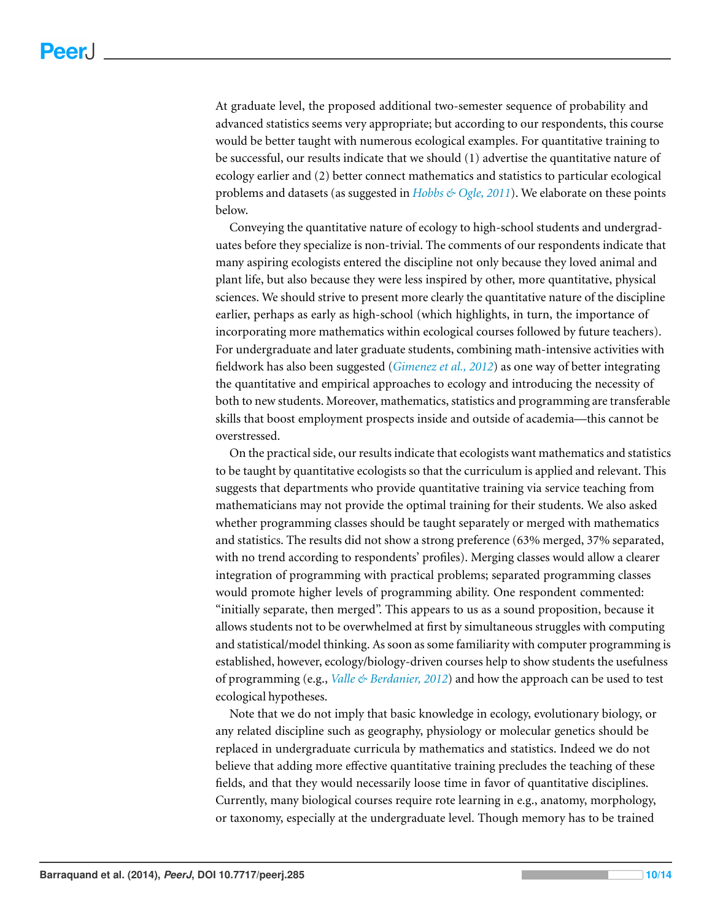At graduate level, the proposed additional two-semester sequence of probability and advanced statistics seems very appropriate; but according to our respondents, this course would be better taught with numerous ecological examples. For quantitative training to be successful, our results indicate that we should (1) advertise the quantitative nature of ecology earlier and (2) better connect mathematics and statistics to particular ecological problems and datasets (as suggested in *[Hobbs](#page-12-17) [&](#page-12-17) [Ogle,](#page-12-17) [2011](#page-12-17)*). We elaborate on these points below.

Conveying the quantitative nature of ecology to high-school students and undergraduates before they specialize is non-trivial. The comments of our respondents indicate that many aspiring ecologists entered the discipline not only because they loved animal and plant life, but also because they were less inspired by other, more quantitative, physical sciences. We should strive to present more clearly the quantitative nature of the discipline earlier, perhaps as early as high-school (which highlights, in turn, the importance of incorporating more mathematics within ecological courses followed by future teachers). For undergraduate and later graduate students, combining math-intensive activities with fieldwork has also been suggested (*[Gimenez](#page-12-18) [et](#page-12-18) [al.,](#page-12-18) [2012](#page-12-18)*) as one way of better integrating the quantitative and empirical approaches to ecology and introducing the necessity of both to new students. Moreover, mathematics, statistics and programming are transferable skills that boost employment prospects inside and outside of academia—this cannot be overstressed.

On the practical side, our results indicate that ecologists want mathematics and statistics to be taught by quantitative ecologists so that the curriculum is applied and relevant. This suggests that departments who provide quantitative training via service teaching from mathematicians may not provide the optimal training for their students. We also asked whether programming classes should be taught separately or merged with mathematics and statistics. The results did not show a strong preference (63% merged, 37% separated, with no trend according to respondents' profiles). Merging classes would allow a clearer integration of programming with practical problems; separated programming classes would promote higher levels of programming ability. One respondent commented: "initially separate, then merged". This appears to us as a sound proposition, because it allows students not to be overwhelmed at first by simultaneous struggles with computing and statistical/model thinking. As soon as some familiarity with computer programming is established, however, ecology/biology-driven courses help to show students the usefulness of programming (e.g., *[Valle](#page-13-8) [&](#page-13-8) [Berdanier,](#page-13-8) [2012](#page-13-8)*) and how the approach can be used to test ecological hypotheses.

Note that we do not imply that basic knowledge in ecology, evolutionary biology, or any related discipline such as geography, physiology or molecular genetics should be replaced in undergraduate curricula by mathematics and statistics. Indeed we do not believe that adding more effective quantitative training precludes the teaching of these fields, and that they would necessarily loose time in favor of quantitative disciplines. Currently, many biological courses require rote learning in e.g., anatomy, morphology, or taxonomy, especially at the undergraduate level. Though memory has to be trained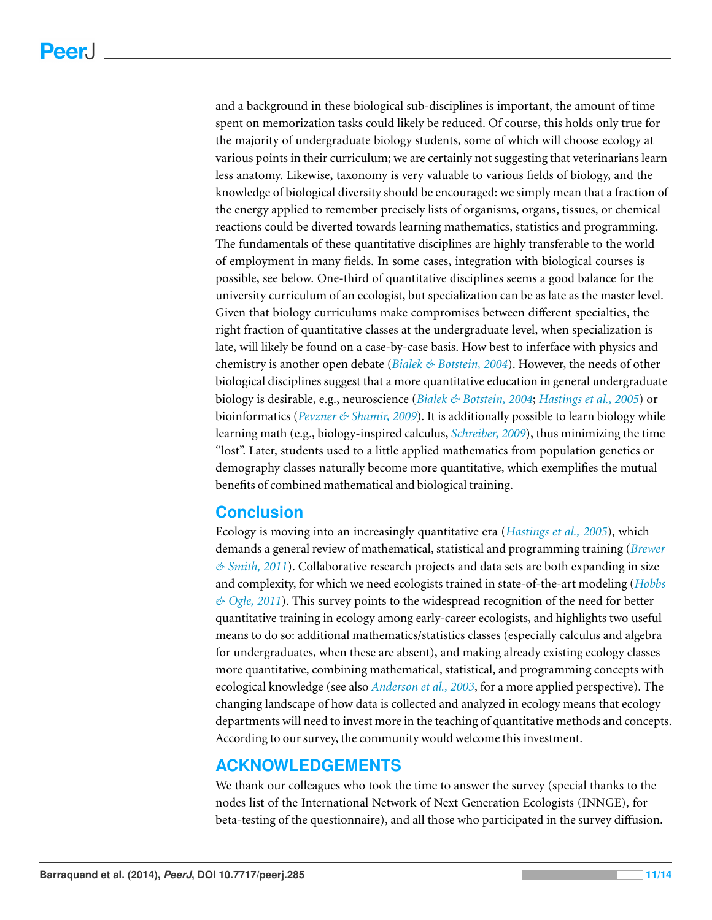and a background in these biological sub-disciplines is important, the amount of time spent on memorization tasks could likely be reduced. Of course, this holds only true for the majority of undergraduate biology students, some of which will choose ecology at various points in their curriculum; we are certainly not suggesting that veterinarians learn less anatomy. Likewise, taxonomy is very valuable to various fields of biology, and the knowledge of biological diversity should be encouraged: we simply mean that a fraction of the energy applied to remember precisely lists of organisms, organs, tissues, or chemical reactions could be diverted towards learning mathematics, statistics and programming. The fundamentals of these quantitative disciplines are highly transferable to the world of employment in many fields. In some cases, integration with biological courses is possible, see below. One-third of quantitative disciplines seems a good balance for the university curriculum of an ecologist, but specialization can be as late as the master level. Given that biology curriculums make compromises between different specialties, the right fraction of quantitative classes at the undergraduate level, when specialization is late, will likely be found on a case-by-case basis. How best to inferface with physics and chemistry is another open debate (*[Bialek](#page-12-19) [&](#page-12-19) [Botstein,](#page-12-19) [2004](#page-12-19)*). However, the needs of other biological disciplines suggest that a more quantitative education in general undergraduate biology is desirable, e.g., neuroscience (*[Bialek](#page-12-19) [&](#page-12-19) [Botstein,](#page-12-19) [2004](#page-12-19)*; *[Hastings](#page-12-20) [et](#page-12-20) [al.,](#page-12-20) [2005](#page-12-20)*) or bioinformatics (*[Pevzner](#page-13-9) [&](#page-13-9) [Shamir,](#page-13-9) [2009](#page-13-9)*). It is additionally possible to learn biology while learning math (e.g., biology-inspired calculus, *[Schreiber,](#page-13-10) [2009](#page-13-10)*), thus minimizing the time "lost". Later, students used to a little applied mathematics from population genetics or demography classes naturally become more quantitative, which exemplifies the mutual benefits of combined mathematical and biological training.

# **Conclusion**

Ecology is moving into an increasingly quantitative era (*[Hastings](#page-12-20) [et](#page-12-20) [al.,](#page-12-20) [2005](#page-12-20)*), which demands a general review of mathematical, statistical and programming training (*[Brewer](#page-12-21) [&](#page-12-21) [Smith,](#page-12-21) [2011](#page-12-21)*). Collaborative research projects and data sets are both expanding in size and complexity, for which we need ecologists trained in state-of-the-art modeling (*[Hobbs](#page-12-17) [&](#page-12-17) [Ogle,](#page-12-17) [2011](#page-12-17)*). This survey points to the widespread recognition of the need for better quantitative training in ecology among early-career ecologists, and highlights two useful means to do so: additional mathematics/statistics classes (especially calculus and algebra for undergraduates, when these are absent), and making already existing ecology classes more quantitative, combining mathematical, statistical, and programming concepts with ecological knowledge (see also *[Anderson](#page-12-22) [et](#page-12-22) [al.,](#page-12-22) [2003](#page-12-22)*, for a more applied perspective). The changing landscape of how data is collected and analyzed in ecology means that ecology departments will need to invest more in the teaching of quantitative methods and concepts. According to our survey, the community would welcome this investment.

# **ACKNOWLEDGEMENTS**

We thank our colleagues who took the time to answer the survey (special thanks to the nodes list of the International Network of Next Generation Ecologists (INNGE), for beta-testing of the questionnaire), and all those who participated in the survey diffusion.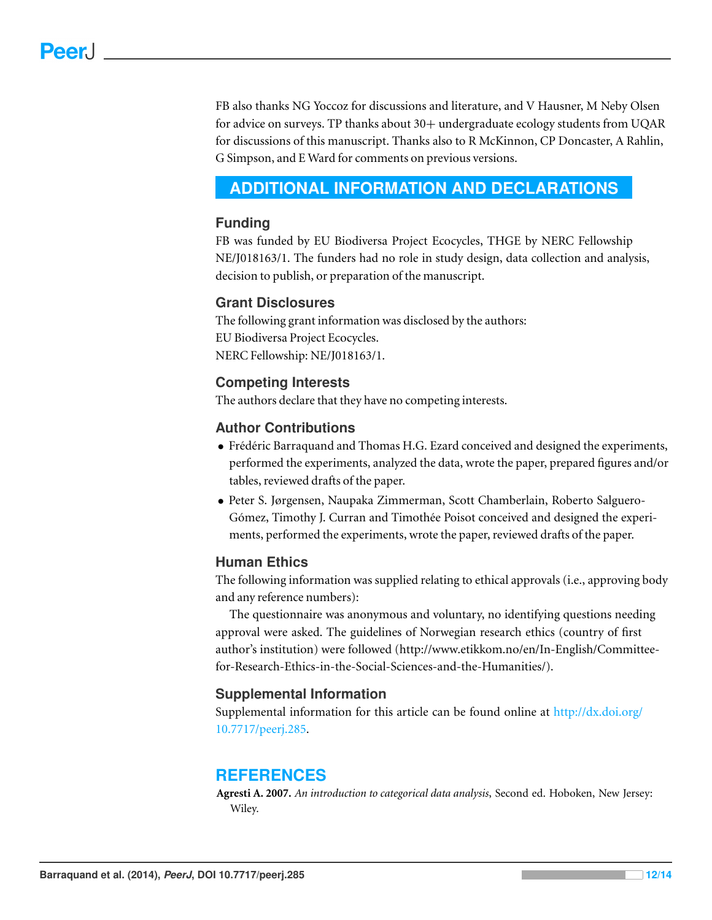FB also thanks NG Yoccoz for discussions and literature, and V Hausner, M Neby Olsen for advice on surveys. TP thanks about 30+ undergraduate ecology students from UQAR for discussions of this manuscript. Thanks also to R McKinnon, CP Doncaster, A Rahlin, G Simpson, and E Ward for comments on previous versions.

# <span id="page-11-0"></span>**ADDITIONAL INFORMATION AND DECLARATIONS**

#### **Funding**

FB was funded by EU Biodiversa Project Ecocycles, THGE by NERC Fellowship NE/J018163/1. The funders had no role in study design, data collection and analysis, decision to publish, or preparation of the manuscript.

#### **Grant Disclosures**

The following grant information was disclosed by the authors: EU Biodiversa Project Ecocycles. NERC Fellowship: NE/J018163/1.

#### **Competing Interests**

The authors declare that they have no competing interests.

#### **Author Contributions**

- Frédéric Barraquand and Thomas H.G. Ezard conceived and designed the experiments, performed the experiments, analyzed the data, wrote the paper, prepared figures and/or tables, reviewed drafts of the paper.
- Peter S. Jørgensen, Naupaka Zimmerman, Scott Chamberlain, Roberto Salguero-Gómez, Timothy J. Curran and Timothée Poisot conceived and designed the experiments, performed the experiments, wrote the paper, reviewed drafts of the paper.

#### **Human Ethics**

The following information was supplied relating to ethical approvals (i.e., approving body and any reference numbers):

The questionnaire was anonymous and voluntary, no identifying questions needing approval were asked. The guidelines of Norwegian research ethics (country of first author's institution) were followed (http://www.etikkom.no/en/In-English/Committeefor-Research-Ethics-in-the-Social-Sciences-and-the-Humanities/).

#### **Supplemental Information**

Supplemental information for this article can be found online at [http://dx.doi.org/](http://dx.doi.org/10.7717/peerj.285) [10.7717/peerj.285.](http://dx.doi.org/10.7717/peerj.285)

# **REFERENCES**

<span id="page-11-1"></span>**Agresti A. 2007.** *An introduction to categorical data analysis*, Second ed. Hoboken, New Jersey: Wiley.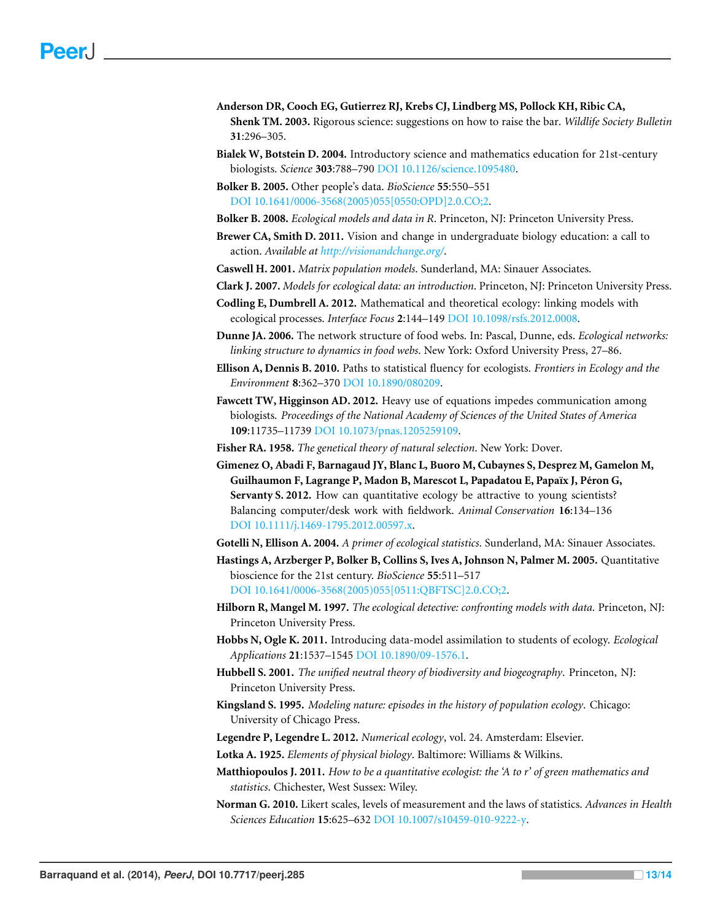- <span id="page-12-22"></span>**Anderson DR, Cooch EG, Gutierrez RJ, Krebs CJ, Lindberg MS, Pollock KH, Ribic CA, Shenk TM. 2003.** Rigorous science: suggestions on how to raise the bar. *Wildlife Society Bulletin* **31**:296–305.
- <span id="page-12-19"></span>**Bialek W, Botstein D. 2004.** Introductory science and mathematics education for 21st-century biologists. *Science* **303**:788–790 DOI [10.1126/science.1095480.](http://dx.doi.org/10.1126/science.1095480)
- <span id="page-12-5"></span>**Bolker B. 2005.** Other people's data. *BioScience* **55**:550–551 DOI [10.1641/0006-3568\(2005\)055\[0550:OPD\]2.0.CO;2.](http://dx.doi.org/10.1641/0006-3568(2005)055[0550:OPD]2.0.CO;2)

<span id="page-12-12"></span>**Bolker B. 2008.** *Ecological models and data in R*. Princeton, NJ: Princeton University Press.

<span id="page-12-21"></span>**Brewer CA, Smith D. 2011.** Vision and change in undergraduate biology education: a call to action. *Available at <http://visionandchange.org/>*.

<span id="page-12-7"></span>**Caswell H. 2001.** *Matrix population models*. Sunderland, MA: Sinauer Associates.

<span id="page-12-11"></span>**Clark J. 2007.** *Models for ecological data: an introduction*. Princeton, NJ: Princeton University Press.

- <span id="page-12-6"></span>**Codling E, Dumbrell A. 2012.** Mathematical and theoretical ecology: linking models with ecological processes. *Interface Focus* **2**:144–149 DOI [10.1098/rsfs.2012.0008.](http://dx.doi.org/10.1098/rsfs.2012.0008)
- <span id="page-12-9"></span>**Dunne JA. 2006.** The network structure of food webs. In: Pascal, Dunne, eds. *Ecological networks: linking structure to dynamics in food webs*. New York: Oxford University Press, 27–86.
- <span id="page-12-15"></span>**Ellison A, Dennis B. 2010.** Paths to statistical fluency for ecologists. *Frontiers in Ecology and the Environment* **8**:362–370 DOI [10.1890/080209.](http://dx.doi.org/10.1890/080209)
- <span id="page-12-14"></span>**Fawcett TW, Higginson AD. 2012.** Heavy use of equations impedes communication among biologists. *Proceedings of the National Academy of Sciences of the United States of America* **109**:11735–11739 DOI [10.1073/pnas.1205259109.](http://dx.doi.org/10.1073/pnas.1205259109)
- <span id="page-12-2"></span>**Fisher RA. 1958.** *The genetical theory of natural selection*. New York: Dover.
- <span id="page-12-18"></span>**Gimenez O, Abadi F, Barnagaud JY, Blanc L, Buoro M, Cubaynes S, Desprez M, Gamelon M, Guilhaumon F, Lagrange P, Madon B, Marescot L, Papadatou E, Papa¨ıx J, Peron G, ´ Servanty S. 2012.** How can quantitative ecology be attractive to young scientists? Balancing computer/desk work with fieldwork. *Animal Conservation* **16**:134–136 DOI [10.1111/j.1469-1795.2012.00597.x.](http://dx.doi.org/10.1111/j.1469-1795.2012.00597.x)
- <span id="page-12-10"></span>**Gotelli N, Ellison A. 2004.** *A primer of ecological statistics*. Sunderland, MA: Sinauer Associates.

<span id="page-12-20"></span>**Hastings A, Arzberger P, Bolker B, Collins S, Ives A, Johnson N, Palmer M. 2005.** Quantitative bioscience for the 21st century. *BioScience* **55**:511–517

DOI [10.1641/0006-3568\(2005\)055\[0511:QBFTSC\]2.0.CO;2.](http://dx.doi.org/10.1641/0006-3568(2005)055[0511:QBFTSC]2.0.CO;2)

- <span id="page-12-4"></span>**Hilborn R, Mangel M. 1997.** *The ecological detective: confronting models with data*. Princeton, NJ: Princeton University Press.
- <span id="page-12-17"></span>**Hobbs N, Ogle K. 2011.** Introducing data-model assimilation to students of ecology. *Ecological Applications* **21**:1537–1545 DOI [10.1890/09-1576.1.](http://dx.doi.org/10.1890/09-1576.1)
- <span id="page-12-8"></span>**Hubbell S. 2001.** *The unified neutral theory of biodiversity and biogeography*. Princeton, NJ: Princeton University Press.
- <span id="page-12-3"></span>**Kingsland S. 1995.** *Modeling nature: episodes in the history of population ecology*. Chicago: University of Chicago Press.

<span id="page-12-0"></span>**Legendre P, Legendre L. 2012.** *Numerical ecology*, vol. 24. Amsterdam: Elsevier.

- <span id="page-12-1"></span>**Lotka A. 1925.** *Elements of physical biology*. Baltimore: Williams & Wilkins.
- <span id="page-12-13"></span>**Matthiopoulos J. 2011.** *How to be a quantitative ecologist: the 'A to r' of green mathematics and statistics*. Chichester, West Sussex: Wiley.
- <span id="page-12-16"></span>**Norman G. 2010.** Likert scales, levels of measurement and the laws of statistics. *Advances in Health Sciences Education* **15**:625–632 DOI [10.1007/s10459-010-9222-y.](http://dx.doi.org/10.1007/s10459-010-9222-y)